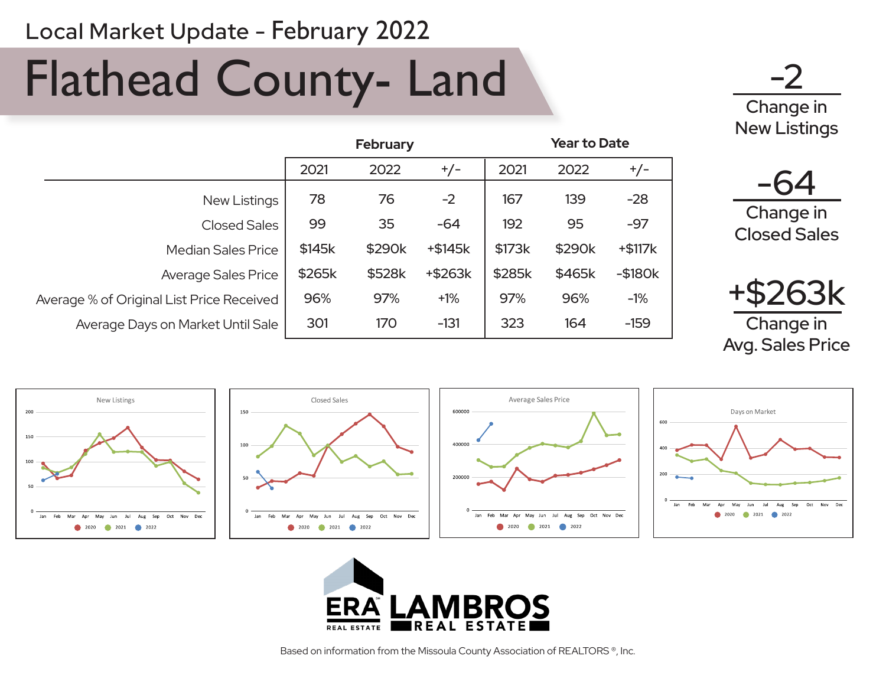# Flathead County- Land

-2 Change in New Listings

|                                           | <b>February</b> |        |           | <b>Year to Date</b> |        |           |  |
|-------------------------------------------|-----------------|--------|-----------|---------------------|--------|-----------|--|
|                                           | 2021            | 2022   | $+/-$     | 2021                | 2022   | $+/-$     |  |
| New Listings                              | 78              | 76     | $-2$      | 167                 | 139    | $-28$     |  |
| <b>Closed Sales</b>                       | 99              | 35     | $-64$     | 192                 | 95     | $-97$     |  |
| <b>Median Sales Price</b>                 | \$145k          | \$290k | $+ $145k$ | \$173k              | \$290k | $+ $117k$ |  |
| <b>Average Sales Price</b>                | \$265k          | \$528k | +\$263k   | \$285k              | \$465k | $-$180k$  |  |
| Average % of Original List Price Received | 96%             | 97%    | $+1%$     | 97%                 | 96%    | $-1%$     |  |
| Average Days on Market Until Sale         | 301             | 170    | $-131$    | 323                 | 164    | $-159$    |  |

-64

Change in Closed Sales



Avg. Sales Price



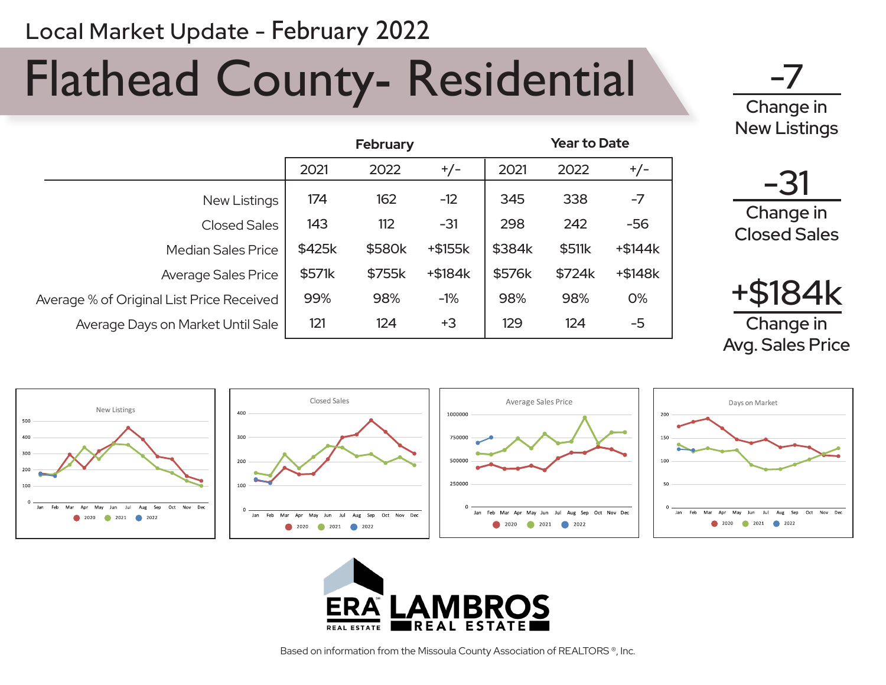# Flathead County- Residential

-7 Change in New Listings

-31

Change in Closed Sales

|                                           | <b>February</b> |        |         | <b>Year to Date</b> |        |           |  |
|-------------------------------------------|-----------------|--------|---------|---------------------|--------|-----------|--|
|                                           | 2021            | 2022   | $+/-$   | 2021                | 2022   | $+/-$     |  |
| New Listings                              | 174             | 162    | $-12$   | 345                 | 338    | $-7$      |  |
| Closed Sales                              | 143             | 112    | $-31$   | 298                 | 242    | $-56$     |  |
| <b>Median Sales Price</b>                 | \$425k          | \$580k | +\$155k | \$384k              | \$511k | $+ $144k$ |  |
| <b>Average Sales Price</b>                | \$571k          | \$755k | +\$184k | \$576k              | \$724k | $+ $148k$ |  |
| Average % of Original List Price Received | 99%             | 98%    | $-1%$   | 98%                 | 98%    | 0%        |  |
| Average Days on Market Until Sale         | 121             | 124    | $+3$    | 129                 | 124    | $-5$      |  |





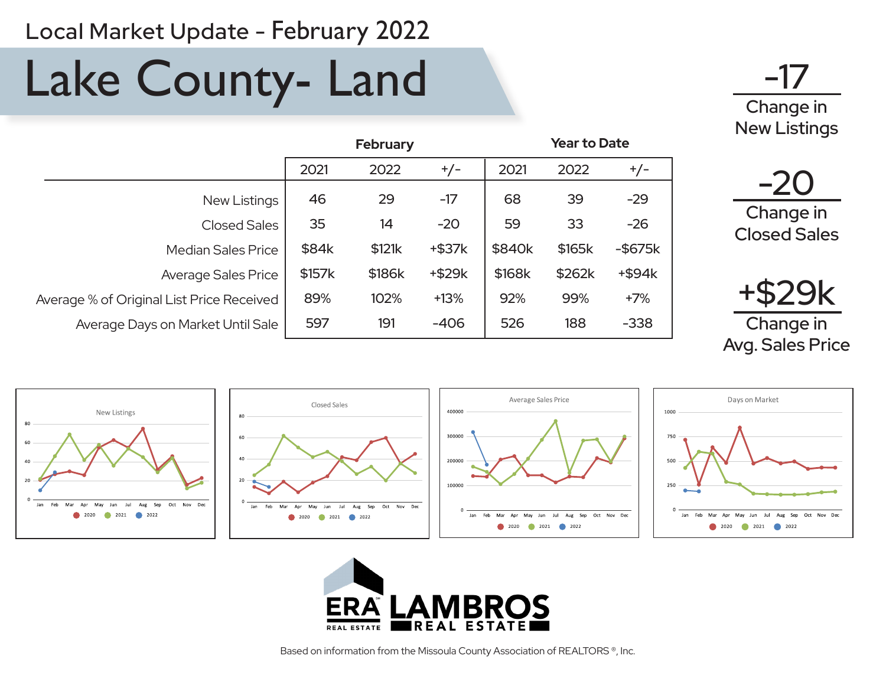## Lake County- Land



|                                           | <b>February</b> |        |              | <b>Year to Date</b> |        |               |  |
|-------------------------------------------|-----------------|--------|--------------|---------------------|--------|---------------|--|
|                                           | 2021            | 2022   | $+/-$        | 2021                | 2022   | $+/-$         |  |
| New Listings                              | 46              | 29     | $-17$        | 68                  | 39     | $-29$         |  |
| Closed Sales                              | 35              | 14     | $-20$        | 59                  | 33     | $-26$         |  |
| <b>Median Sales Price</b>                 | \$84k           | \$121k | $+$ \$37 $k$ | \$840k              | \$165k | $-$ \$675 $k$ |  |
| <b>Average Sales Price</b>                | \$157k          | \$186k | $+$ \$29 $k$ | \$168k              | \$262k | $+$ \$94 $k$  |  |
| Average % of Original List Price Received | 89%             | 102%   | $+13%$       | 92%                 | 99%    | $+7%$         |  |
| Average Days on Market Until Sale         | 597             | 191    | $-406$       | 526                 | 188    | $-338$        |  |





Change in Avg. Sales Price